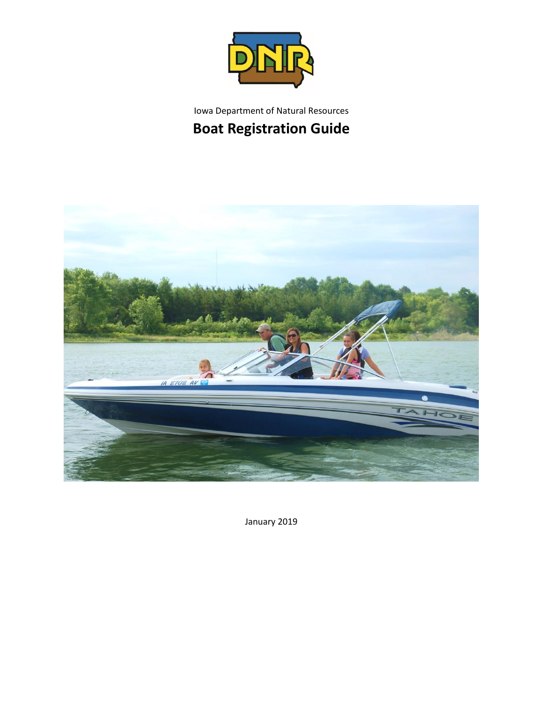

# Iowa Department of Natural Resources **Boat Registration Guide**



January 2019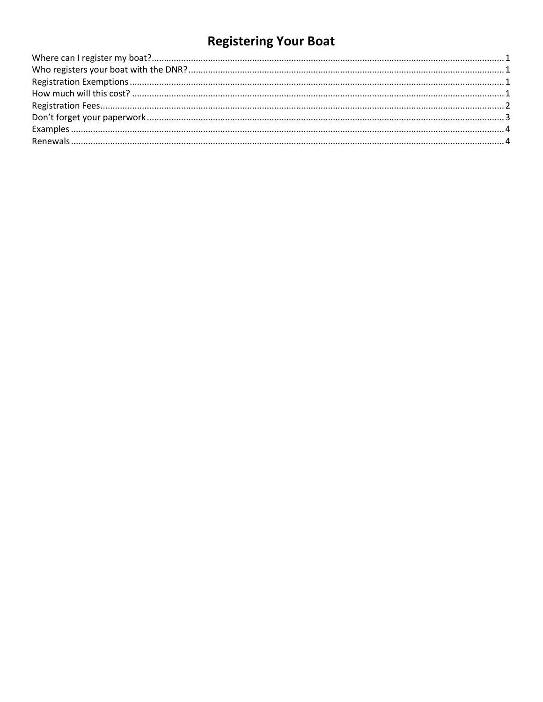# **Registering Your Boat**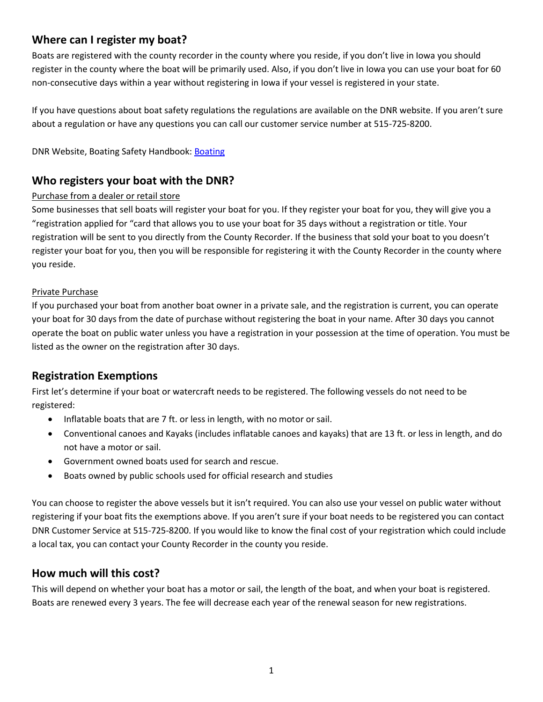# <span id="page-2-0"></span>**Where can I register my boat?**

Boats are registered with the county recorder in the county where you reside, if you don't live in Iowa you should register in the county where the boat will be primarily used. Also, if you don't live in Iowa you can use your boat for 60 non-consecutive days within a year without registering in Iowa if your vessel is registered in your state.

If you have questions about boat safety regulations the regulations are available on the DNR website. If you aren't sure about a regulation or have any questions you can call our customer service number at 515-725-8200.

DNR Website, Boating Safety Handbook: [Boating](http://www.iowadnr.gov/Things-to-Do/Boating)

# <span id="page-2-1"></span>**Who registers your boat with the DNR?**

#### Purchase from a dealer or retail store

Some businesses that sell boats will register your boat for you. If they register your boat for you, they will give you a "registration applied for "card that allows you to use your boat for 35 days without a registration or title. Your registration will be sent to you directly from the County Recorder. If the business that sold your boat to you doesn't register your boat for you, then you will be responsible for registering it with the County Recorder in the county where you reside.

#### Private Purchase

If you purchased your boat from another boat owner in a private sale, and the registration is current, you can operate your boat for 30 days from the date of purchase without registering the boat in your name. After 30 days you cannot operate the boat on public water unless you have a registration in your possession at the time of operation. You must be listed as the owner on the registration after 30 days.

## <span id="page-2-2"></span>**Registration Exemptions**

First let's determine if your boat or watercraft needs to be registered. The following vessels do not need to be registered:

- Inflatable boats that are 7 ft. or less in length, with no motor or sail.
- Conventional canoes and Kayaks (includes inflatable canoes and kayaks) that are 13 ft. or less in length, and do not have a motor or sail.
- Government owned boats used for search and rescue.
- Boats owned by public schools used for official research and studies

You can choose to register the above vessels but it isn't required. You can also use your vessel on public water without registering if your boat fits the exemptions above. If you aren't sure if your boat needs to be registered you can contact DNR Customer Service at 515-725-8200. If you would like to know the final cost of your registration which could include a local tax, you can contact your County Recorder in the county you reside.

### <span id="page-2-3"></span>**How much will this cost?**

This will depend on whether your boat has a motor or sail, the length of the boat, and when your boat is registered. Boats are renewed every 3 years. The fee will decrease each year of the renewal season for new registrations.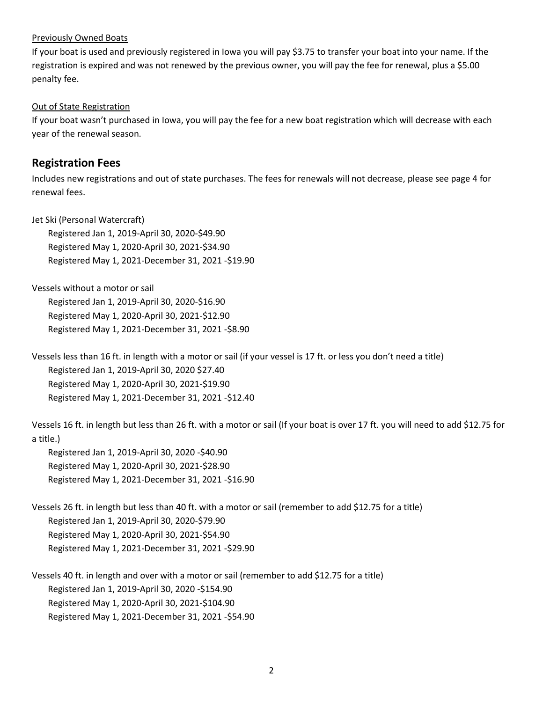#### Previously Owned Boats

If your boat is used and previously registered in Iowa you will pay \$3.75 to transfer your boat into your name. If the registration is expired and was not renewed by the previous owner, you will pay the fee for renewal, plus a \$5.00 penalty fee.

#### Out of State Registration

If your boat wasn't purchased in Iowa, you will pay the fee for a new boat registration which will decrease with each year of the renewal season.

### <span id="page-3-0"></span>**Registration Fees**

Includes new registrations and out of state purchases. The fees for renewals will not decrease, please see page 4 for renewal fees.

Jet Ski (Personal Watercraft)

Registered Jan 1, 2019-April 30, 2020-\$49.90 Registered May 1, 2020-April 30, 2021-\$34.90 Registered May 1, 2021-December 31, 2021 -\$19.90

Vessels without a motor or sail Registered Jan 1, 2019-April 30, 2020-\$16.90 Registered May 1, 2020-April 30, 2021-\$12.90 Registered May 1, 2021-December 31, 2021 -\$8.90

Vessels less than 16 ft. in length with a motor or sail (if your vessel is 17 ft. or less you don't need a title) Registered Jan 1, 2019-April 30, 2020 \$27.40 Registered May 1, 2020-April 30, 2021-\$19.90 Registered May 1, 2021-December 31, 2021 -\$12.40

Vessels 16 ft. in length but less than 26 ft. with a motor or sail (If your boat is over 17 ft. you will need to add \$12.75 for a title.)

Registered Jan 1, 2019-April 30, 2020 -\$40.90 Registered May 1, 2020-April 30, 2021-\$28.90 Registered May 1, 2021-December 31, 2021 -\$16.90

Vessels 26 ft. in length but less than 40 ft. with a motor or sail (remember to add \$12.75 for a title) Registered Jan 1, 2019-April 30, 2020-\$79.90 Registered May 1, 2020-April 30, 2021-\$54.90 Registered May 1, 2021-December 31, 2021 -\$29.90

Vessels 40 ft. in length and over with a motor or sail (remember to add \$12.75 for a title) Registered Jan 1, 2019-April 30, 2020 -\$154.90 Registered May 1, 2020-April 30, 2021-\$104.90 Registered May 1, 2021-December 31, 2021 -\$54.90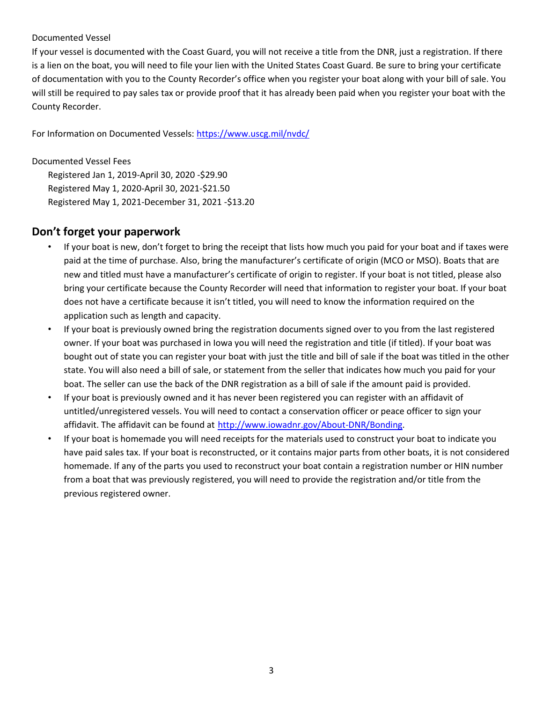#### Documented Vessel

If your vessel is documented with the Coast Guard, you will not receive a title from the DNR, just a registration. If there is a lien on the boat, you will need to file your lien with the United States Coast Guard. Be sure to bring your certificate of documentation with you to the County Recorder's office when you register your boat along with your bill of sale. You will still be required to pay sales tax or provide proof that it has already been paid when you register your boat with the County Recorder.

For Information on Documented Vessels[: https://www.uscg.mil/nvdc/](https://www.uscg.mil/nvdc/)

Documented Vessel Fees Registered Jan 1, 2019-April 30, 2020 -\$29.90 Registered May 1, 2020-April 30, 2021-\$21.50 Registered May 1, 2021-December 31, 2021 -\$13.20

## <span id="page-4-0"></span>**Don't forget your paperwork**

- If your boat is new, don't forget to bring the receipt that lists how much you paid for your boat and if taxes were paid at the time of purchase. Also, bring the manufacturer's certificate of origin (MCO or MSO). Boats that are new and titled must have a manufacturer's certificate of origin to register. If your boat is not titled, please also bring your certificate because the County Recorder will need that information to register your boat. If your boat does not have a certificate because it isn't titled, you will need to know the information required on the application such as length and capacity.
- If your boat is previously owned bring the registration documents signed over to you from the last registered owner. If your boat was purchased in Iowa you will need the registration and title (if titled). If your boat was bought out of state you can register your boat with just the title and bill of sale if the boat was titled in the other state. You will also need a bill of sale, or statement from the seller that indicates how much you paid for your boat. The seller can use the back of the DNR registration as a bill of sale if the amount paid is provided.
- If your boat is previously owned and it has never been registered you can register with an affidavit of untitled/unregistered vessels. You will need to contact a conservation officer or peace officer to sign your affidavit. The affidavit can be found at [http://www.iowadnr.gov/About-DNR/Bonding.](http://www.iowadnr.gov/About-DNR/Bonding)
- <span id="page-4-1"></span>• If your boat is homemade you will need receipts for the materials used to construct your boat to indicate you have paid sales tax. If your boat is reconstructed, or it contains major parts from other boats, it is not considered homemade. If any of the parts you used to reconstruct your boat contain a registration number or HIN number from a boat that was previously registered, you will need to provide the registration and/or title from the previous registered owner.